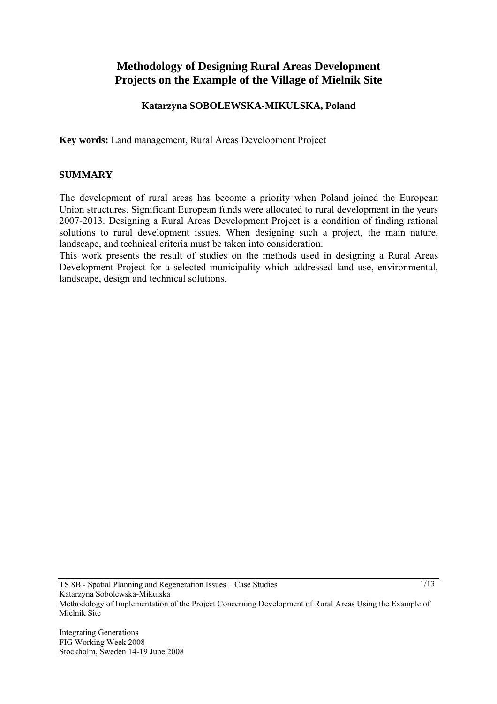# **Methodology of Designing Rural Areas Development Projects on the Example of the Village of Mielnik Site**

### **Katarzyna SOBOLEWSKA-MIKULSKA, Poland**

**Key words:** Land management, Rural Areas Development Project

#### **SUMMARY**

The development of rural areas has become a priority when Poland joined the European Union structures. Significant European funds were allocated to rural development in the years 2007-2013. Designing a Rural Areas Development Project is a condition of finding rational solutions to rural development issues. When designing such a project, the main nature, landscape, and technical criteria must be taken into consideration.

This work presents the result of studies on the methods used in designing a Rural Areas Development Project for a selected municipality which addressed land use, environmental, landscape, design and technical solutions.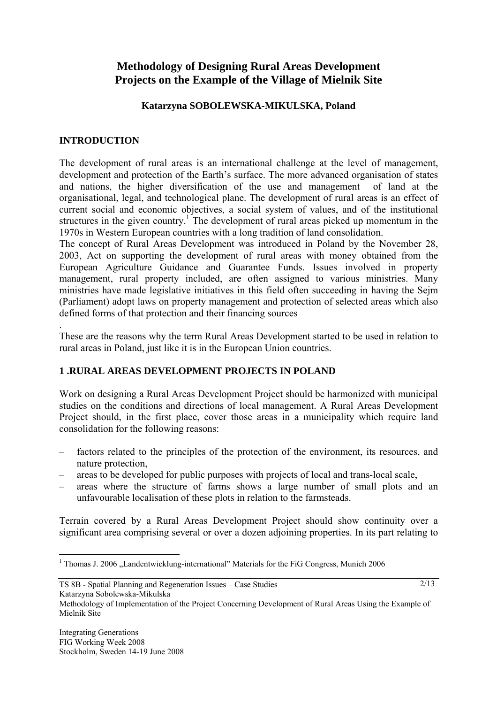# **Methodology of Designing Rural Areas Development Projects on the Example of the Village of Mielnik Site**

### **Katarzyna SOBOLEWSKA-MIKULSKA, Poland**

### **INTRODUCTION**

.

The development of rural areas is an international challenge at the level of management, development and protection of the Earth's surface. The more advanced organisation of states and nations, the higher diversification of the use and management of land at the organisational, legal, and technological plane. The development of rural areas is an effect of current social and economic objectives, a social system of values, and of the institutional structures in the given country.<sup>1</sup> The development of rural areas picked up momentum in the 1970s in Western European countries with a long tradition of land consolidation.

The concept of Rural Areas Development was introduced in Poland by the November 28, 2003, Act on supporting the development of rural areas with money obtained from the European Agriculture Guidance and Guarantee Funds. Issues involved in property management, rural property included, are often assigned to various ministries. Many ministries have made legislative initiatives in this field often succeeding in having the Sejm (Parliament) adopt laws on property management and protection of selected areas which also defined forms of that protection and their financing sources

These are the reasons why the term Rural Areas Development started to be used in relation to rural areas in Poland, just like it is in the European Union countries.

### **1 .RURAL AREAS DEVELOPMENT PROJECTS IN POLAND**

Work on designing a Rural Areas Development Project should be harmonized with municipal studies on the conditions and directions of local management. A Rural Areas Development Project should, in the first place, cover those areas in a municipality which require land consolidation for the following reasons:

- factors related to the principles of the protection of the environment, its resources, and nature protection,
- areas to be developed for public purposes with projects of local and trans-local scale,
- areas where the structure of farms shows a large number of small plots and an unfavourable localisation of these plots in relation to the farmsteads.

Terrain covered by a Rural Areas Development Project should show continuity over a significant area comprising several or over a dozen adjoining properties. In its part relating to

TS 8B - Spatial Planning and Regeneration Issues – Case Studies

 $\overline{a}$ <sup>1</sup> Thomas J. 2006 "Landentwicklung-international" Materials for the FiG Congress, Munich 2006

Methodology of Implementation of the Project Concerning Development of Rural Areas Using the Example of Mielnik Site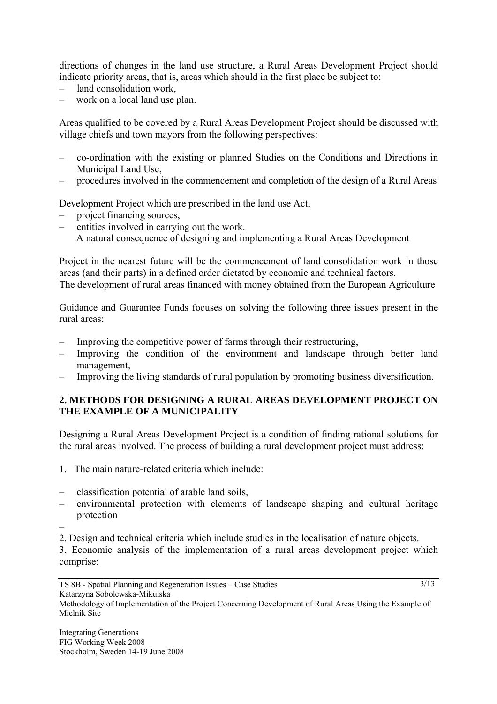directions of changes in the land use structure, a Rural Areas Development Project should indicate priority areas, that is, areas which should in the first place be subject to:

- land consolidation work,
- work on a local land use plan.

Areas qualified to be covered by a Rural Areas Development Project should be discussed with village chiefs and town mayors from the following perspectives:

- co-ordination with the existing or planned Studies on the Conditions and Directions in Municipal Land Use,
- procedures involved in the commencement and completion of the design of a Rural Areas

Development Project which are prescribed in the land use Act,

- project financing sources,
- entities involved in carrying out the work.
	- A natural consequence of designing and implementing a Rural Areas Development

Project in the nearest future will be the commencement of land consolidation work in those areas (and their parts) in a defined order dictated by economic and technical factors. The development of rural areas financed with money obtained from the European Agriculture

Guidance and Guarantee Funds focuses on solving the following three issues present in the rural areas:

- Improving the competitive power of farms through their restructuring,
- Improving the condition of the environment and landscape through better land management,
- Improving the living standards of rural population by promoting business diversification.

## **2. METHODS FOR DESIGNING A RURAL AREAS DEVELOPMENT PROJECT ON THE EXAMPLE OF A MUNICIPALITY**

Designing a Rural Areas Development Project is a condition of finding rational solutions for the rural areas involved. The process of building a rural development project must address:

- 1. The main nature-related criteria which include:
- classification potential of arable land soils,
- environmental protection with elements of landscape shaping and cultural heritage protection
- 2. Design and technical criteria which include studies in the localisation of nature objects.

3. Economic analysis of the implementation of a rural areas development project which comprise:

Methodology of Implementation of the Project Concerning Development of Rural Areas Using the Example of Mielnik Site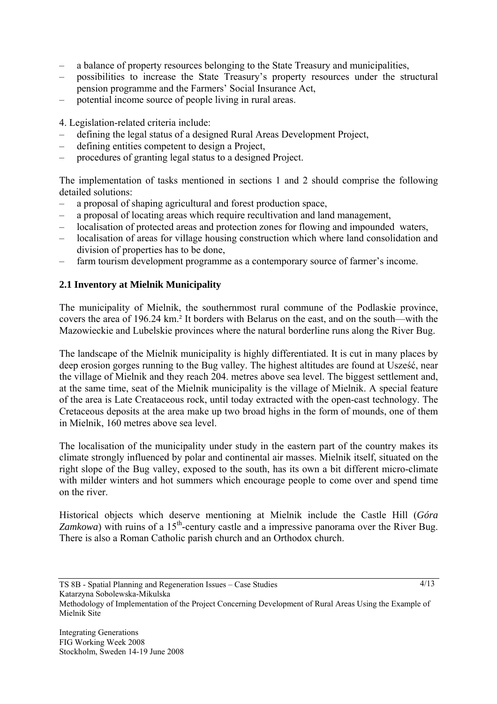- a balance of property resources belonging to the State Treasury and municipalities,
- possibilities to increase the State Treasury's property resources under the structural pension programme and the Farmers' Social Insurance Act,
- potential income source of people living in rural areas.

4. Legislation-related criteria include:

- defining the legal status of a designed Rural Areas Development Project,
- defining entities competent to design a Project,
- procedures of granting legal status to a designed Project.

The implementation of tasks mentioned in sections 1 and 2 should comprise the following detailed solutions:

- a proposal of shaping agricultural and forest production space,
- a proposal of locating areas which require recultivation and land management,
- localisation of protected areas and protection zones for flowing and impounded waters,
- localisation of areas for village housing construction which where land consolidation and division of properties has to be done,
- farm tourism development programme as a contemporary source of farmer's income.

#### **2.1 Inventory at Mielnik Municipality**

The municipality of Mielnik, the southernmost rural commune of the Podlaskie province, covers the area of 196.24 km.² It borders with Belarus on the east, and on the south—with the Mazowieckie and Lubelskie provinces where the natural borderline runs along the River Bug.

The landscape of the Mielnik municipality is highly differentiated. It is cut in many places by deep erosion gorges running to the Bug valley. The highest altitudes are found at Usześć, near the village of Mielnik and they reach 204. metres above sea level. The biggest settlement and, at the same time, seat of the Mielnik municipality is the village of Mielnik. A special feature of the area is Late Creataceous rock, until today extracted with the open-cast technology. The Cretaceous deposits at the area make up two broad highs in the form of mounds, one of them in Mielnik, 160 metres above sea level.

The localisation of the municipality under study in the eastern part of the country makes its climate strongly influenced by polar and continental air masses. Mielnik itself, situated on the right slope of the Bug valley, exposed to the south, has its own a bit different micro-climate with milder winters and hot summers which encourage people to come over and spend time on the river.

Historical objects which deserve mentioning at Mielnik include the Castle Hill (*Góra Zamkowa*) with ruins of a 15<sup>th</sup>-century castle and a impressive panorama over the River Bug. There is also a Roman Catholic parish church and an Orthodox church.

TS 8B - Spatial Planning and Regeneration Issues – Case Studies

Methodology of Implementation of the Project Concerning Development of Rural Areas Using the Example of Mielnik Site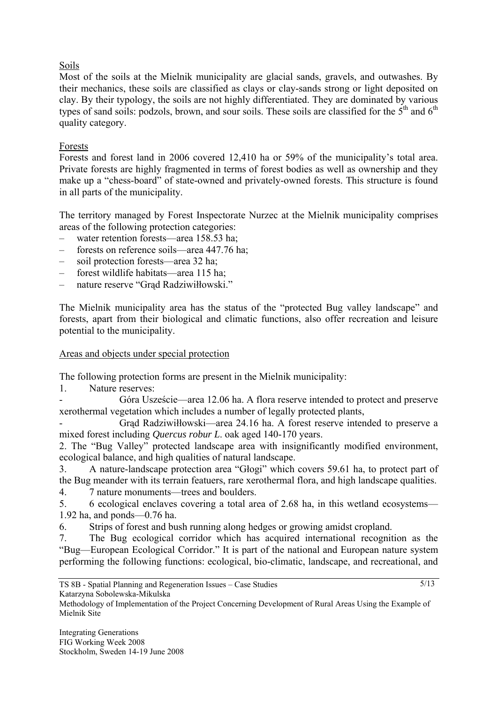# Soils

Most of the soils at the Mielnik municipality are glacial sands, gravels, and outwashes. By their mechanics, these soils are classified as clays or clay-sands strong or light deposited on clay. By their typology, the soils are not highly differentiated. They are dominated by various types of sand soils: podzols, brown, and sour soils. These soils are classified for the  $5<sup>th</sup>$  and  $6<sup>th</sup>$ quality category.

### Forests

Forests and forest land in 2006 covered 12,410 ha or 59% of the municipality's total area. Private forests are highly fragmented in terms of forest bodies as well as ownership and they make up a "chess-board" of state-owned and privately-owned forests. This structure is found in all parts of the municipality.

The territory managed by Forest Inspectorate Nurzec at the Mielnik municipality comprises areas of the following protection categories:

- water retention forests—area 158.53 ha;
- forests on reference soils—area 447.76 ha;
- soil protection forests—area 32 ha;
- forest wildlife habitats—area 115 ha;
- nature reserve "Grąd Radziwiłłowski."

The Mielnik municipality area has the status of the "protected Bug valley landscape" and forests, apart from their biological and climatic functions, also offer recreation and leisure potential to the municipality.

### Areas and objects under special protection

The following protection forms are present in the Mielnik municipality:

1. Nature reserves:

Góra Uszeście—area 12.06 ha. A flora reserve intended to protect and preserve xerothermal vegetation which includes a number of legally protected plants,

- Grąd Radziwiłłowski—area 24.16 ha. A forest reserve intended to preserve a mixed forest including *Quercus robur L*. oak aged 140-170 years.

2. The "Bug Valley" protected landscape area with insignificantly modified environment, ecological balance, and high qualities of natural landscape.

3. A nature-landscape protection area "Głogi" which covers 59.61 ha, to protect part of the Bug meander with its terrain featuers, rare xerothermal flora, and high landscape qualities.

4. 7 nature monuments—trees and boulders.

5. 6 ecological enclaves covering a total area of 2.68 ha, in this wetland ecosystems— 1.92 ha, and ponds—0.76 ha.

6. Strips of forest and bush running along hedges or growing amidst cropland.

7. The Bug ecological corridor which has acquired international recognition as the "Bug—European Ecological Corridor." It is part of the national and European nature system performing the following functions: ecological, bio-climatic, landscape, and recreational, and

```
Katarzyna Sobolewska-Mikulska
```
Methodology of Implementation of the Project Concerning Development of Rural Areas Using the Example of Mielnik Site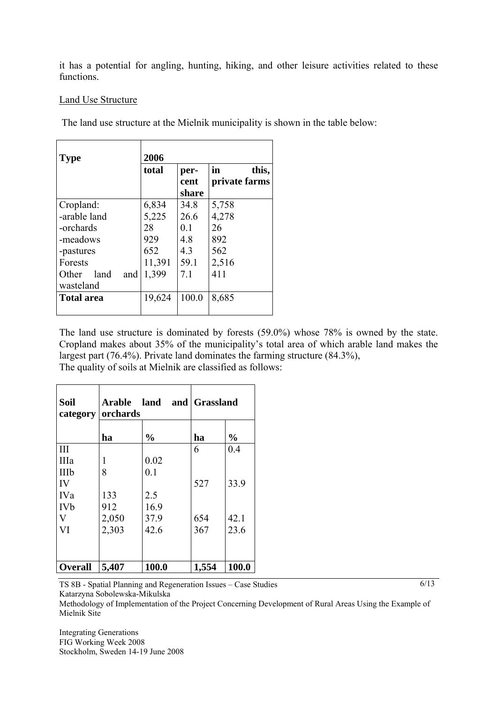it has a potential for angling, hunting, hiking, and other leisure activities related to these functions.

### Land Use Structure

The land use structure at the Mielnik municipality is shown in the table below:

| <b>Type</b>          | 2006   |       |               |
|----------------------|--------|-------|---------------|
|                      | total  | per-  | in<br>this,   |
|                      |        | cent  | private farms |
|                      |        | share |               |
| Cropland:            | 6,834  | 34.8  | 5,758         |
| -arable land         | 5,225  | 26.6  | 4,278         |
| -orchards            | 28     | 0.1   | 26            |
| -meadows             | 929    | 4.8   | 892           |
| -pastures            | 652    | 4.3   | 562           |
| Forests              | 11,391 | 59.1  | 2,516         |
| Other<br>land<br>and | 1,399  | 7.1   | 411           |
| wasteland            |        |       |               |
| <b>Total area</b>    | 19,624 | 100.0 | 8,685         |
|                      |        |       |               |

The land use structure is dominated by forests (59.0%) whose 78% is owned by the state. Cropland makes about 35% of the municipality's total area of which arable land makes the largest part (76.4%). Private land dominates the farming structure (84.3%), The quality of soils at Mielnik are classified as follows:

| Soil<br>category | orchards | Arable land and | <b>Grassland</b> |               |
|------------------|----------|-----------------|------------------|---------------|
|                  | ha       | $\frac{0}{0}$   | ha               | $\frac{0}{0}$ |
| III              |          |                 | 6                | 0.4           |
| IIIa             | 1        | 0.02            |                  |               |
| IIIb             | 8        | 0.1             |                  |               |
| IV               |          |                 | 527              | 33.9          |
| <b>IVa</b>       | 133      | 2.5             |                  |               |
| <b>IVb</b>       | 912      | 16.9            |                  |               |
| V                | 2,050    | 37.9            | 654              | 42.1          |
| VI               | 2,303    | 42.6            | 367              | 23.6          |
|                  |          |                 |                  |               |
|                  |          |                 |                  |               |
| <b>Overall</b>   | 5,407    | 100.0           | 1,554            | 100.0         |

TS 8B - Spatial Planning and Regeneration Issues – Case Studies Katarzyna Sobolewska-Mikulska

6/13

Methodology of Implementation of the Project Concerning Development of Rural Areas Using the Example of Mielnik Site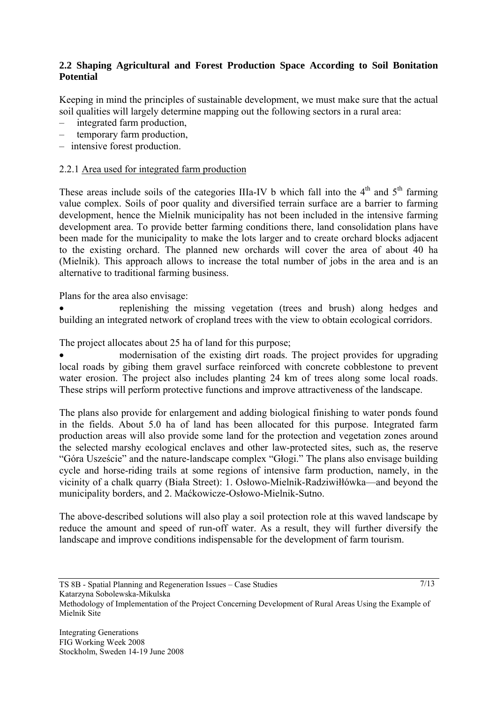## **2.2 Shaping Agricultural and Forest Production Space According to Soil Bonitation Potential**

Keeping in mind the principles of sustainable development, we must make sure that the actual soil qualities will largely determine mapping out the following sectors in a rural area:

- integrated farm production,
- temporary farm production,
- intensive forest production.

### 2.2.1 Area used for integrated farm production

These areas include soils of the categories IIIa-IV b which fall into the  $4<sup>th</sup>$  and  $5<sup>th</sup>$  farming value complex. Soils of poor quality and diversified terrain surface are a barrier to farming development, hence the Mielnik municipality has not been included in the intensive farming development area. To provide better farming conditions there, land consolidation plans have been made for the municipality to make the lots larger and to create orchard blocks adjacent to the existing orchard. The planned new orchards will cover the area of about 40 ha (Mielnik). This approach allows to increase the total number of jobs in the area and is an alternative to traditional farming business.

Plans for the area also envisage:

• replenishing the missing vegetation (trees and brush) along hedges and building an integrated network of cropland trees with the view to obtain ecological corridors.

The project allocates about 25 ha of land for this purpose;

• modernisation of the existing dirt roads. The project provides for upgrading local roads by gibing them gravel surface reinforced with concrete cobblestone to prevent water erosion. The project also includes planting 24 km of trees along some local roads. These strips will perform protective functions and improve attractiveness of the landscape.

The plans also provide for enlargement and adding biological finishing to water ponds found in the fields. About 5.0 ha of land has been allocated for this purpose. Integrated farm production areas will also provide some land for the protection and vegetation zones around the selected marshy ecological enclaves and other law-protected sites, such as, the reserve "Góra Uszeście" and the nature-landscape complex "Głogi." The plans also envisage building cycle and horse-riding trails at some regions of intensive farm production, namely, in the vicinity of a chalk quarry (Biała Street): 1. Osłowo-Mielnik-Radziwiłłówka—and beyond the municipality borders, and 2. Maćkowicze-Osłowo-Mielnik-Sutno.

The above-described solutions will also play a soil protection role at this waved landscape by reduce the amount and speed of run-off water. As a result, they will further diversify the landscape and improve conditions indispensable for the development of farm tourism.

TS 8B - Spatial Planning and Regeneration Issues – Case Studies

Methodology of Implementation of the Project Concerning Development of Rural Areas Using the Example of Mielnik Site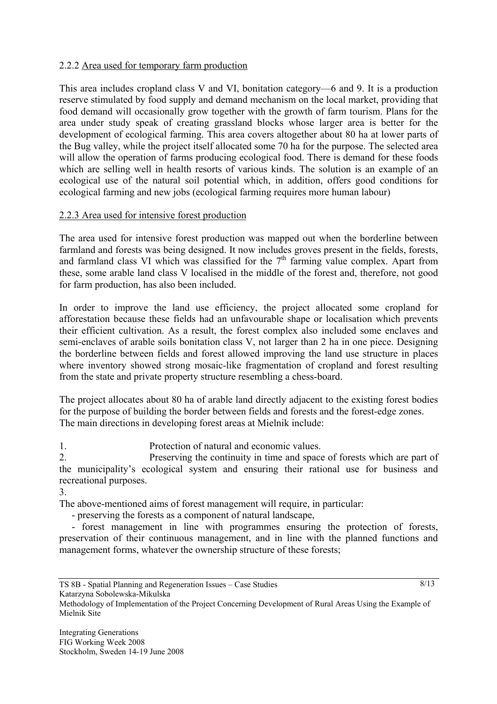### 2.2.2 Area used for temporary farm production

This area includes cropland class V and VI, bonitation category—6 and 9. It is a production reserve stimulated by food supply and demand mechanism on the local market, providing that food demand will occasionally grow together with the growth of farm tourism. Plans for the area under study speak of creating grassland blocks whose larger area is better for the development of ecological farming. This area covers altogether about 80 ha at lower parts of the Bug valley, while the project itself allocated some 70 ha for the purpose. The selected area will allow the operation of farms producing ecological food. There is demand for these foods which are selling well in health resorts of various kinds. The solution is an example of an ecological use of the natural soil potential which, in addition, offers good conditions for ecological farming and new jobs (ecological farming requires more human labour)

### 2.2.3 Area used for intensive forest production

The area used for intensive forest production was mapped out when the borderline between farmland and forests was being designed. It now includes groves present in the fields, forests, and farmland class VI which was classified for the  $7<sup>th</sup>$  farming value complex. Apart from these, some arable land class V localised in the middle of the forest and, therefore, not good for farm production, has also been included.

In order to improve the land use efficiency, the project allocated some cropland for afforestation because these fields had an unfavourable shape or localisation which prevents their efficient cultivation. As a result, the forest complex also included some enclaves and semi-enclaves of arable soils bonitation class V, not larger than 2 ha in one piece. Designing the borderline between fields and forest allowed improving the land use structure in places where inventory showed strong mosaic-like fragmentation of cropland and forest resulting from the state and private property structure resembling a chess-board.

The project allocates about 80 ha of arable land directly adjacent to the existing forest bodies for the purpose of building the border between fields and forests and the forest-edge zones. The main directions in developing forest areas at Mielnik include:

1. Protection of natural and economic values.

2. Preserving the continuity in time and space of forests which are part of the municipality's ecological system and ensuring their rational use for business and recreational purposes.

3.

The above-mentioned aims of forest management will require, in particular:

- preserving the forests as a component of natural landscape,

 - forest management in line with programmes ensuring the protection of forests, preservation of their continuous management, and in line with the planned functions and management forms, whatever the ownership structure of these forests;

8/13

Methodology of Implementation of the Project Concerning Development of Rural Areas Using the Example of Mielnik Site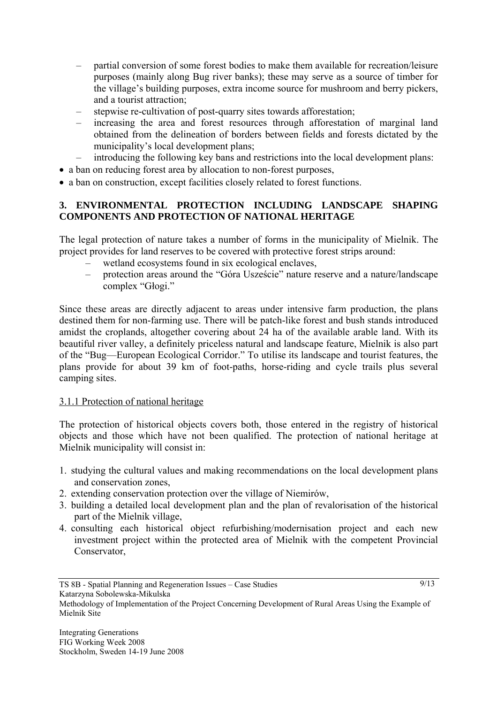- partial conversion of some forest bodies to make them available for recreation/leisure purposes (mainly along Bug river banks); these may serve as a source of timber for the village's building purposes, extra income source for mushroom and berry pickers, and a tourist attraction;
- stepwise re-cultivation of post-quarry sites towards afforestation;
- increasing the area and forest resources through afforestation of marginal land obtained from the delineation of borders between fields and forests dictated by the municipality's local development plans;
- introducing the following key bans and restrictions into the local development plans:
- a ban on reducing forest area by allocation to non-forest purposes,
- a ban on construction, except facilities closely related to forest functions.

### **3. ENVIRONMENTAL PROTECTION INCLUDING LANDSCAPE SHAPING COMPONENTS AND PROTECTION OF NATIONAL HERITAGE**

The legal protection of nature takes a number of forms in the municipality of Mielnik. The project provides for land reserves to be covered with protective forest strips around:

- wetland ecosystems found in six ecological enclaves,
- protection areas around the "Góra Uszeście" nature reserve and a nature/landscape complex "Głogi."

Since these areas are directly adjacent to areas under intensive farm production, the plans destined them for non-farming use. There will be patch-like forest and bush stands introduced amidst the croplands, altogether covering about 24 ha of the available arable land. With its beautiful river valley, a definitely priceless natural and landscape feature, Mielnik is also part of the "Bug—European Ecological Corridor." To utilise its landscape and tourist features, the plans provide for about 39 km of foot-paths, horse-riding and cycle trails plus several camping sites.

### 3.1.1 Protection of national heritage

The protection of historical objects covers both, those entered in the registry of historical objects and those which have not been qualified. The protection of national heritage at Mielnik municipality will consist in:

- 1. studying the cultural values and making recommendations on the local development plans and conservation zones,
- 2. extending conservation protection over the village of Niemirów,
- 3. building a detailed local development plan and the plan of revalorisation of the historical part of the Mielnik village,
- 4. consulting each historical object refurbishing/modernisation project and each new investment project within the protected area of Mielnik with the competent Provincial Conservator,

Methodology of Implementation of the Project Concerning Development of Rural Areas Using the Example of Mielnik Site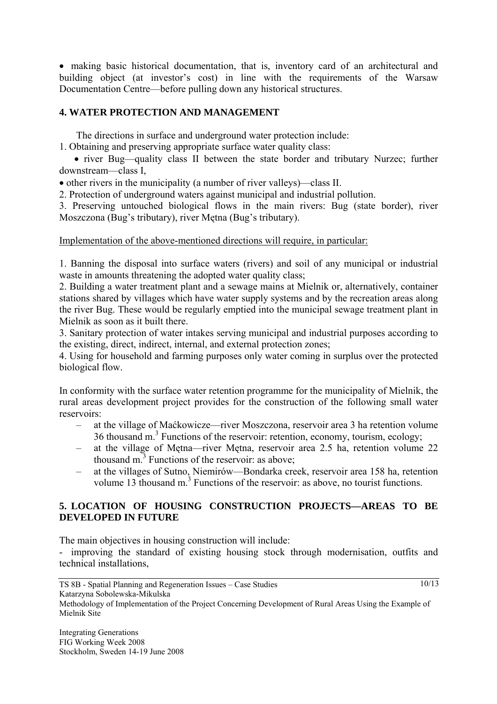• making basic historical documentation, that is, inventory card of an architectural and building object (at investor's cost) in line with the requirements of the Warsaw Documentation Centre—before pulling down any historical structures.

## **4. WATER PROTECTION AND MANAGEMENT**

The directions in surface and underground water protection include:

1. Obtaining and preserving appropriate surface water quality class:

 • river Bug—quality class II between the state border and tributary Nurzec; further downstream—class I,

• other rivers in the municipality (a number of river valleys)—class II.

2. Protection of underground waters against municipal and industrial pollution.

3. Preserving untouched biological flows in the main rivers: Bug (state border), river Moszczona (Bug's tributary), river Mętna (Bug's tributary).

#### Implementation of the above-mentioned directions will require, in particular:

1. Banning the disposal into surface waters (rivers) and soil of any municipal or industrial waste in amounts threatening the adopted water quality class;

2. Building a water treatment plant and a sewage mains at Mielnik or, alternatively, container stations shared by villages which have water supply systems and by the recreation areas along the river Bug. These would be regularly emptied into the municipal sewage treatment plant in Mielnik as soon as it built there.

3. Sanitary protection of water intakes serving municipal and industrial purposes according to the existing, direct, indirect, internal, and external protection zones;

4. Using for household and farming purposes only water coming in surplus over the protected biological flow.

In conformity with the surface water retention programme for the municipality of Mielnik, the rural areas development project provides for the construction of the following small water reservoirs:

- at the village of Maćkowicze—river Moszczona, reservoir area 3 ha retention volume 36 thousand m.<sup>3</sup> Functions of the reservoir: retention, economy, tourism, ecology;
- at the village of Mętna—river Mętna, reservoir area 2.5 ha, retention volume 22 thousand  $m<sup>3</sup>$  Functions of the reservoir: as above;
- at the villages of Sutno, Niemirów—Bondarka creek, reservoir area 158 ha, retention volume 13 thousand  $m<sup>3</sup>$  Functions of the reservoir: as above, no tourist functions.

### **5. LOCATION OF HOUSING CONSTRUCTION PROJECTS—AREAS TO BE DEVELOPED IN FUTURE**

The main objectives in housing construction will include:

- improving the standard of existing housing stock through modernisation, outfits and technical installations,

Methodology of Implementation of the Project Concerning Development of Rural Areas Using the Example of Mielnik Site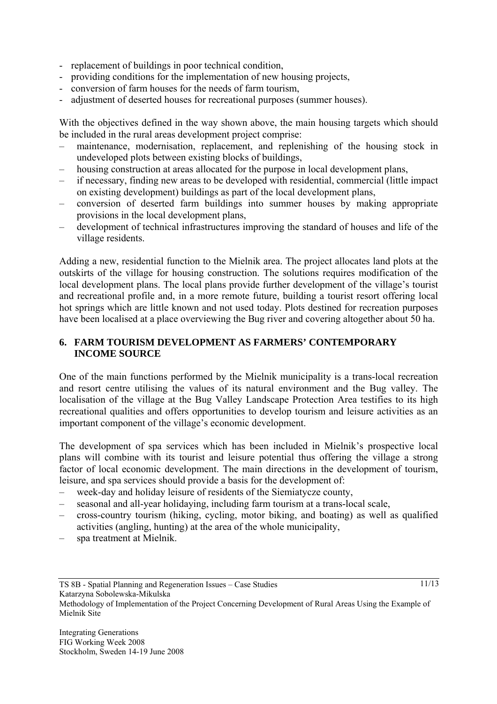- replacement of buildings in poor technical condition,
- providing conditions for the implementation of new housing projects,
- conversion of farm houses for the needs of farm tourism,
- adjustment of deserted houses for recreational purposes (summer houses).

With the objectives defined in the way shown above, the main housing targets which should be included in the rural areas development project comprise:

- maintenance, modernisation, replacement, and replenishing of the housing stock in undeveloped plots between existing blocks of buildings,
- housing construction at areas allocated for the purpose in local development plans,
- if necessary, finding new areas to be developed with residential, commercial (little impact on existing development) buildings as part of the local development plans,
- conversion of deserted farm buildings into summer houses by making appropriate provisions in the local development plans,
- development of technical infrastructures improving the standard of houses and life of the village residents.

Adding a new, residential function to the Mielnik area. The project allocates land plots at the outskirts of the village for housing construction. The solutions requires modification of the local development plans. The local plans provide further development of the village's tourist and recreational profile and, in a more remote future, building a tourist resort offering local hot springs which are little known and not used today. Plots destined for recreation purposes have been localised at a place overviewing the Bug river and covering altogether about 50 ha.

### **6. FARM TOURISM DEVELOPMENT AS FARMERS' CONTEMPORARY INCOME SOURCE**

One of the main functions performed by the Mielnik municipality is a trans-local recreation and resort centre utilising the values of its natural environment and the Bug valley. The localisation of the village at the Bug Valley Landscape Protection Area testifies to its high recreational qualities and offers opportunities to develop tourism and leisure activities as an important component of the village's economic development.

The development of spa services which has been included in Mielnik's prospective local plans will combine with its tourist and leisure potential thus offering the village a strong factor of local economic development. The main directions in the development of tourism, leisure, and spa services should provide a basis for the development of:

- week-day and holiday leisure of residents of the Siemiatycze county,
- seasonal and all-year holidaying, including farm tourism at a trans-local scale,
- cross-country tourism (hiking, cycling, motor biking, and boating) as well as qualified activities (angling, hunting) at the area of the whole municipality,
- spa treatment at Mielnik.

TS 8B - Spatial Planning and Regeneration Issues – Case Studies Katarzyna Sobolewska-Mikulska Methodology of Implementation of the Project Concerning Development of Rural Areas Using the Example of Mielnik Site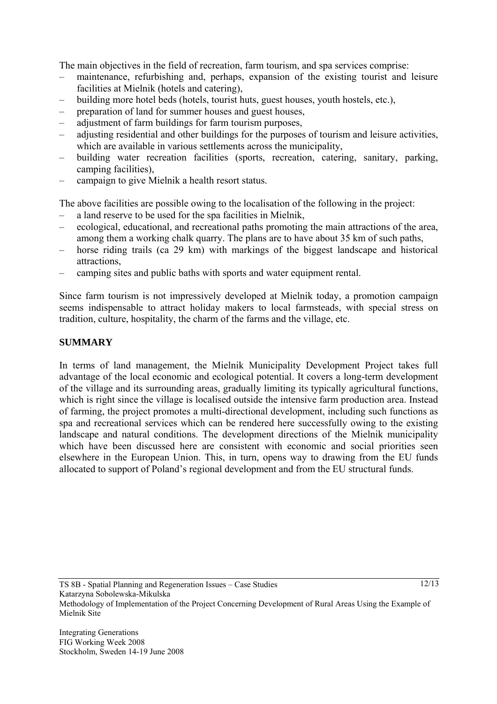The main objectives in the field of recreation, farm tourism, and spa services comprise:

- maintenance, refurbishing and, perhaps, expansion of the existing tourist and leisure facilities at Mielnik (hotels and catering),
- building more hotel beds (hotels, tourist huts, guest houses, youth hostels, etc.),
- preparation of land for summer houses and guest houses,
- adjustment of farm buildings for farm tourism purposes,
- adjusting residential and other buildings for the purposes of tourism and leisure activities, which are available in various settlements across the municipality,
- building water recreation facilities (sports, recreation, catering, sanitary, parking, camping facilities),
- campaign to give Mielnik a health resort status.

The above facilities are possible owing to the localisation of the following in the project:

- a land reserve to be used for the spa facilities in Mielnik,
- ecological, educational, and recreational paths promoting the main attractions of the area, among them a working chalk quarry. The plans are to have about 35 km of such paths,
- horse riding trails (ca 29 km) with markings of the biggest landscape and historical attractions,
- camping sites and public baths with sports and water equipment rental.

Since farm tourism is not impressively developed at Mielnik today, a promotion campaign seems indispensable to attract holiday makers to local farmsteads, with special stress on tradition, culture, hospitality, the charm of the farms and the village, etc.

# **SUMMARY**

In terms of land management, the Mielnik Municipality Development Project takes full advantage of the local economic and ecological potential. It covers a long-term development of the village and its surrounding areas, gradually limiting its typically agricultural functions, which is right since the village is localised outside the intensive farm production area. Instead of farming, the project promotes a multi-directional development, including such functions as spa and recreational services which can be rendered here successfully owing to the existing landscape and natural conditions. The development directions of the Mielnik municipality which have been discussed here are consistent with economic and social priorities seen elsewhere in the European Union. This, in turn, opens way to drawing from the EU funds allocated to support of Poland's regional development and from the EU structural funds.

TS 8B - Spatial Planning and Regeneration Issues – Case Studies Katarzyna Sobolewska-Mikulska Methodology of Implementation of the Project Concerning Development of Rural Areas Using the Example of Mielnik Site

Integrating Generations FIG Working Week 2008 Stockholm, Sweden 14-19 June 2008  $12/13$